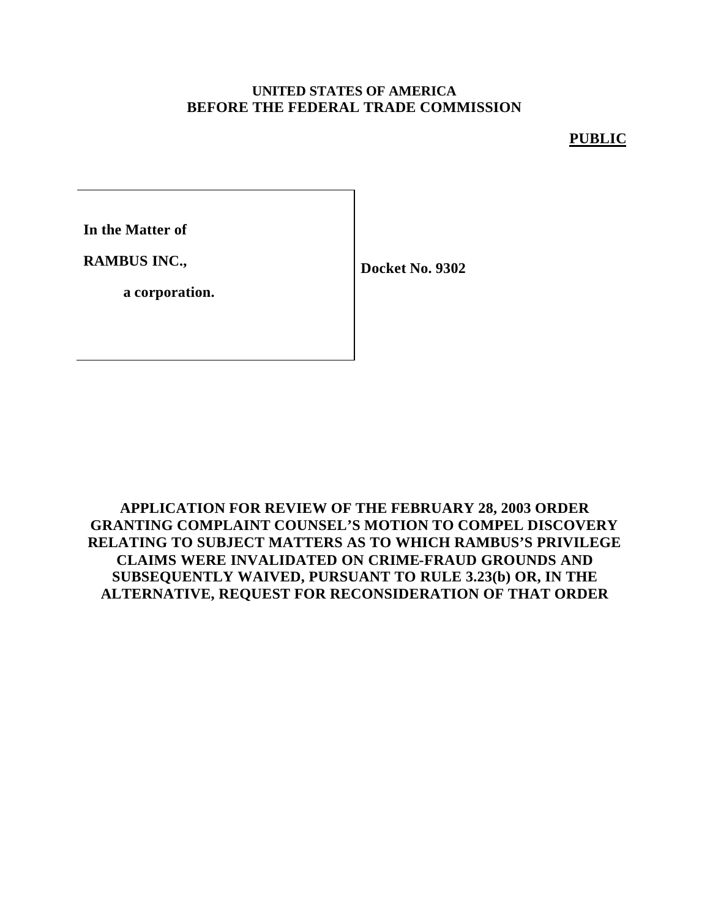### **UNITED STATES OF AMERICA BEFORE THE FEDERAL TRADE COMMISSION**

#### **PUBLIC**

**In the Matter of**

**RAMBUS INC.,**

**Docket No. 9302**

**a corporation.**

**APPLICATION FOR REVIEW OF THE FEBRUARY 28, 2003 ORDER GRANTING COMPLAINT COUNSEL'S MOTION TO COMPEL DISCOVERY RELATING TO SUBJECT MATTERS AS TO WHICH RAMBUS'S PRIVILEGE CLAIMS WERE INVALIDATED ON CRIME-FRAUD GROUNDS AND SUBSEQUENTLY WAIVED, PURSUANT TO RULE 3.23(b) OR, IN THE ALTERNATIVE, REQUEST FOR RECONSIDERATION OF THAT ORDER**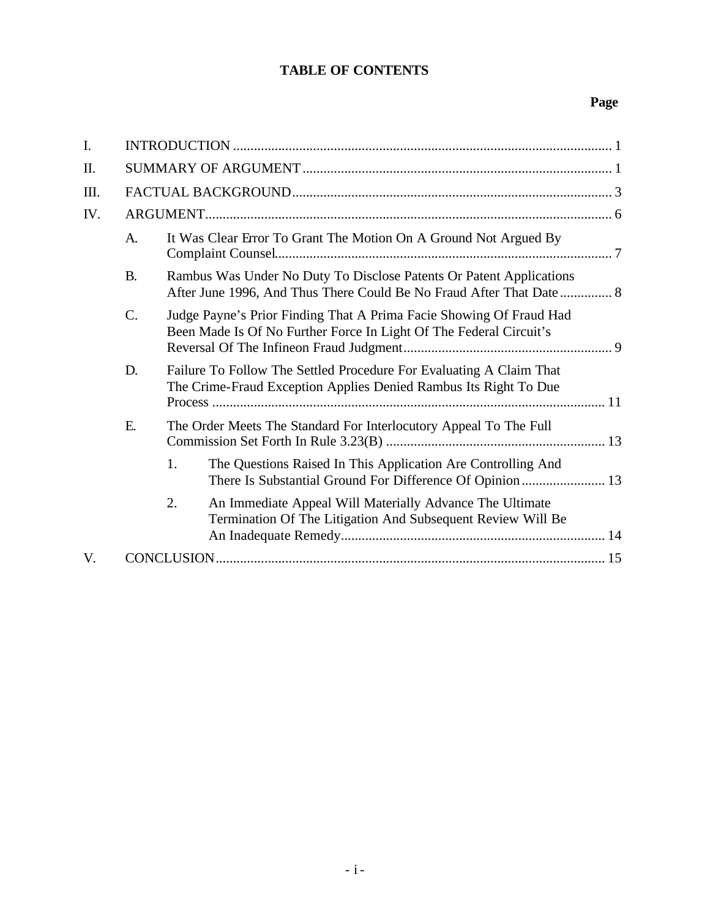### **TABLE OF CONTENTS**

### **Page**

| $I_{\cdot}$ |                 |                                                                                                                                         |                                                                                                                                             |  |  |
|-------------|-----------------|-----------------------------------------------------------------------------------------------------------------------------------------|---------------------------------------------------------------------------------------------------------------------------------------------|--|--|
| II.         |                 |                                                                                                                                         |                                                                                                                                             |  |  |
| III.        |                 |                                                                                                                                         |                                                                                                                                             |  |  |
| IV.         |                 |                                                                                                                                         |                                                                                                                                             |  |  |
|             | A.              |                                                                                                                                         | It Was Clear Error To Grant The Motion On A Ground Not Argued By                                                                            |  |  |
|             | <b>B.</b>       |                                                                                                                                         | Rambus Was Under No Duty To Disclose Patents Or Patent Applications<br>After June 1996, And Thus There Could Be No Fraud After That Date  8 |  |  |
|             | $\mathcal{C}$ . |                                                                                                                                         | Judge Payne's Prior Finding That A Prima Facie Showing Of Fraud Had<br>Been Made Is Of No Further Force In Light Of The Federal Circuit's   |  |  |
|             | D.              | Failure To Follow The Settled Procedure For Evaluating A Claim That<br>The Crime-Fraud Exception Applies Denied Rambus Its Right To Due |                                                                                                                                             |  |  |
|             | E.              | The Order Meets The Standard For Interlocutory Appeal To The Full                                                                       |                                                                                                                                             |  |  |
|             |                 | 1.                                                                                                                                      | The Questions Raised In This Application Are Controlling And<br>There Is Substantial Ground For Difference Of Opinion 13                    |  |  |
|             |                 | 2.                                                                                                                                      | An Immediate Appeal Will Materially Advance The Ultimate<br>Termination Of The Litigation And Subsequent Review Will Be                     |  |  |
| V.          |                 |                                                                                                                                         |                                                                                                                                             |  |  |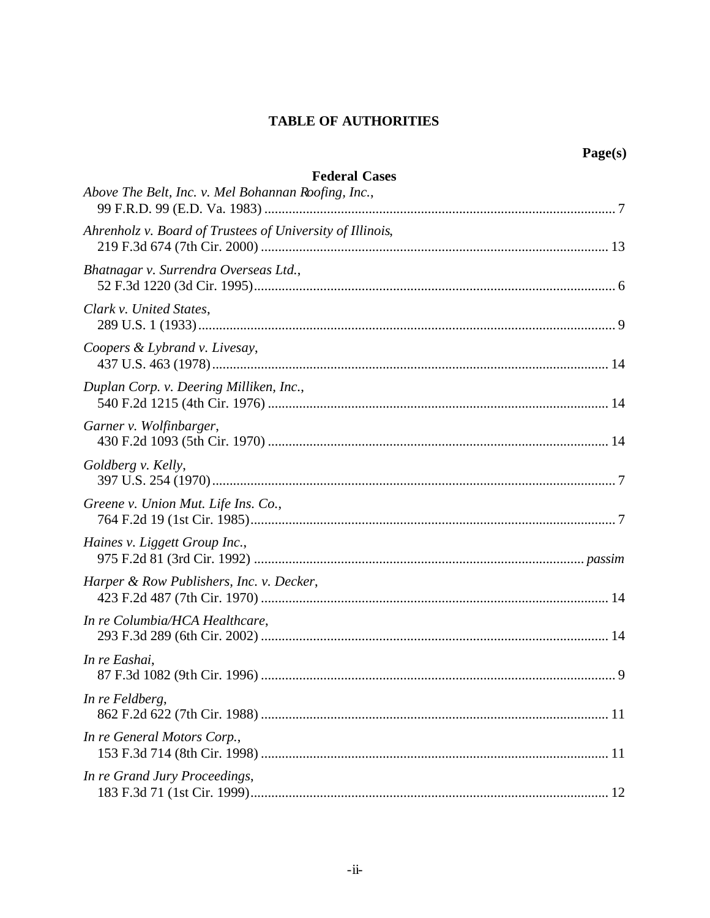### **TABLE OF AUTHORITIES**

| <b>Federal Cases</b><br>Above The Belt, Inc. v. Mel Bohannan Roofing, Inc., |
|-----------------------------------------------------------------------------|
| Ahrenholz v. Board of Trustees of University of Illinois,                   |
| Bhatnagar v. Surrendra Overseas Ltd.,                                       |
| Clark v. United States,                                                     |
| Coopers & Lybrand v. Livesay,                                               |
| Duplan Corp. v. Deering Milliken, Inc.,                                     |
| Garner v. Wolfinbarger,                                                     |
| Goldberg v. Kelly,                                                          |
| Greene v. Union Mut. Life Ins. Co.,                                         |
| Haines v. Liggett Group Inc.,                                               |
| Harper & Row Publishers, Inc. v. Decker,                                    |
| In re Columbia/HCA Healthcare,                                              |
| In re Eashai,                                                               |
| In re Feldberg,                                                             |
| In re General Motors Corp.,                                                 |
| In re Grand Jury Proceedings,                                               |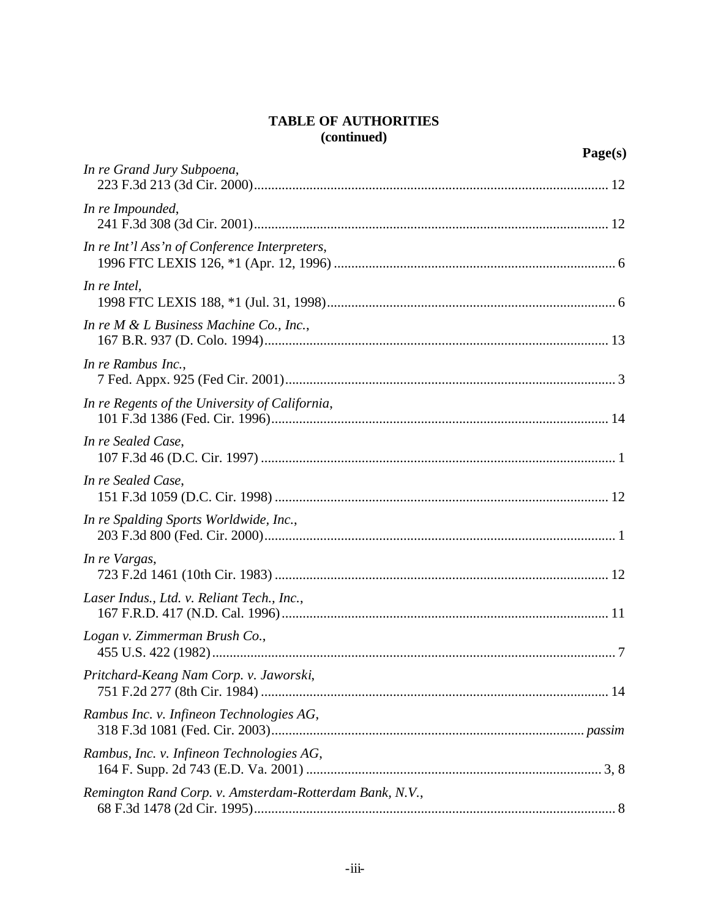### **TABLE OF AUTHORITIES (continued)**

|                                                         | Page(s) |
|---------------------------------------------------------|---------|
| In re Grand Jury Subpoena,                              |         |
| In re Impounded,                                        |         |
| In re Int'l Ass'n of Conference Interpreters,           |         |
| In re Intel,                                            |         |
| In re $M \& L$ Business Machine Co., Inc.,              |         |
| In re Rambus Inc.,                                      |         |
| In re Regents of the University of California,          |         |
| In re Sealed Case,                                      |         |
| In re Sealed Case,                                      |         |
| In re Spalding Sports Worldwide, Inc.,                  |         |
| In re Vargas,                                           |         |
| Laser Indus., Ltd. v. Reliant Tech., Inc.,              |         |
| Logan v. Zimmerman Brush Co.,                           |         |
| Pritchard-Keang Nam Corp. v. Jaworski,                  |         |
| Rambus Inc. v. Infineon Technologies AG,                |         |
| Rambus, Inc. v. Infineon Technologies AG,               |         |
| Remington Rand Corp. v. Amsterdam-Rotterdam Bank, N.V., |         |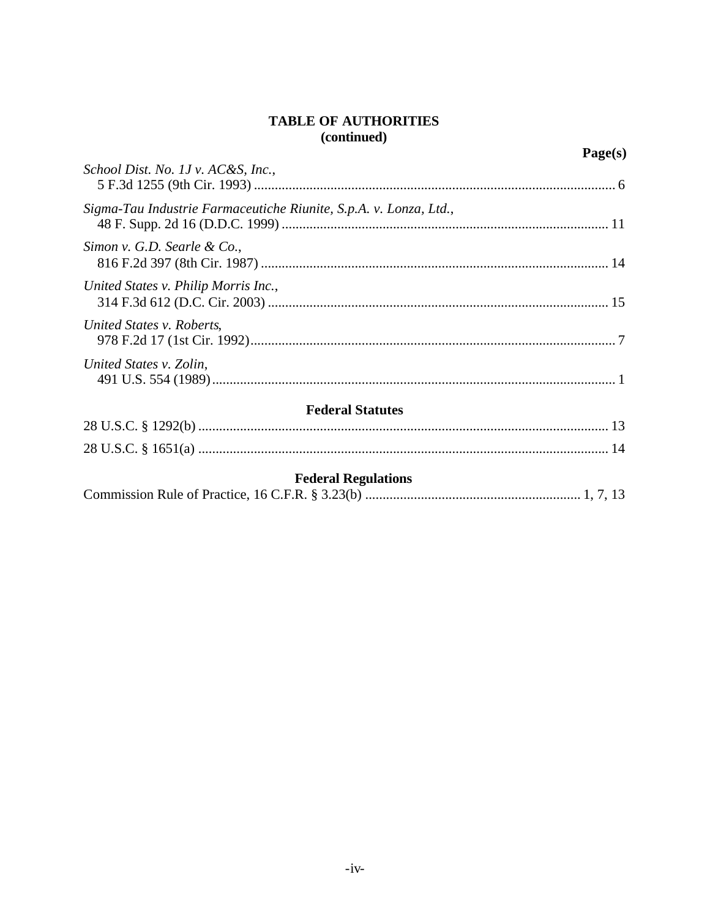### **TABLE OF AUTHORITIES** (continued)

|                                                                   | Page(s) |
|-------------------------------------------------------------------|---------|
| School Dist. No. 1J v. AC&S, Inc.,                                |         |
| Sigma-Tau Industrie Farmaceutiche Riunite, S.p.A. v. Lonza, Ltd., |         |
| Simon v. G.D. Searle & Co.,                                       |         |
| United States v. Philip Morris Inc.,                              |         |
| United States v. Roberts,                                         |         |
| United States v. Zolin,                                           |         |
|                                                                   |         |

### **Federal Statutes**

## **Federal Regulations**

|--|--|--|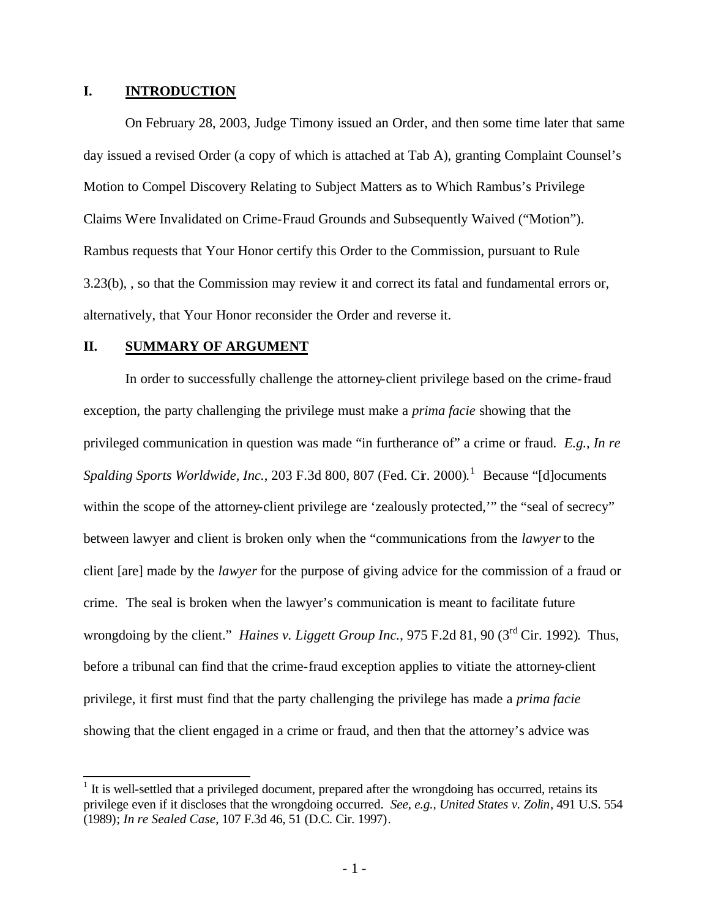#### **I. INTRODUCTION**

On February 28, 2003, Judge Timony issued an Order, and then some time later that same day issued a revised Order (a copy of which is attached at Tab A), granting Complaint Counsel's Motion to Compel Discovery Relating to Subject Matters as to Which Rambus's Privilege Claims Were Invalidated on Crime-Fraud Grounds and Subsequently Waived ("Motion"). Rambus requests that Your Honor certify this Order to the Commission, pursuant to Rule 3.23(b), , so that the Commission may review it and correct its fatal and fundamental errors or, alternatively, that Your Honor reconsider the Order and reverse it.

#### **II. SUMMARY OF ARGUMENT**

In order to successfully challenge the attorney-client privilege based on the crime-fraud exception, the party challenging the privilege must make a *prima facie* showing that the privileged communication in question was made "in furtherance of" a crime or fraud. *E.g., In re*  Spalding Sports Worldwide, Inc., 203 F.3d 800, 807 (Fed. Cir. 2000).<sup>1</sup> Because "[d]ocuments within the scope of the attorney-client privilege are 'zealously protected,'" the "seal of secrecy" between lawyer and client is broken only when the "communications from the *lawyer* to the client [are] made by the *lawyer* for the purpose of giving advice for the commission of a fraud or crime. The seal is broken when the lawyer's communication is meant to facilitate future wrongdoing by the client." *Haines v. Liggett Group Inc.*, 975 F.2d 81, 90 (3rd Cir. 1992). Thus, before a tribunal can find that the crime-fraud exception applies to vitiate the attorney-client privilege, it first must find that the party challenging the privilege has made a *prima facie*  showing that the client engaged in a crime or fraud, and then that the attorney's advice was

<sup>&</sup>lt;sup>1</sup> It is well-settled that a privileged document, prepared after the wrongdoing has occurred, retains its privilege even if it discloses that the wrongdoing occurred. *See, e.g., United States v. Zolin*, 491 U.S. 554 (1989); *In re Sealed Case*, 107 F.3d 46, 51 (D.C. Cir. 1997).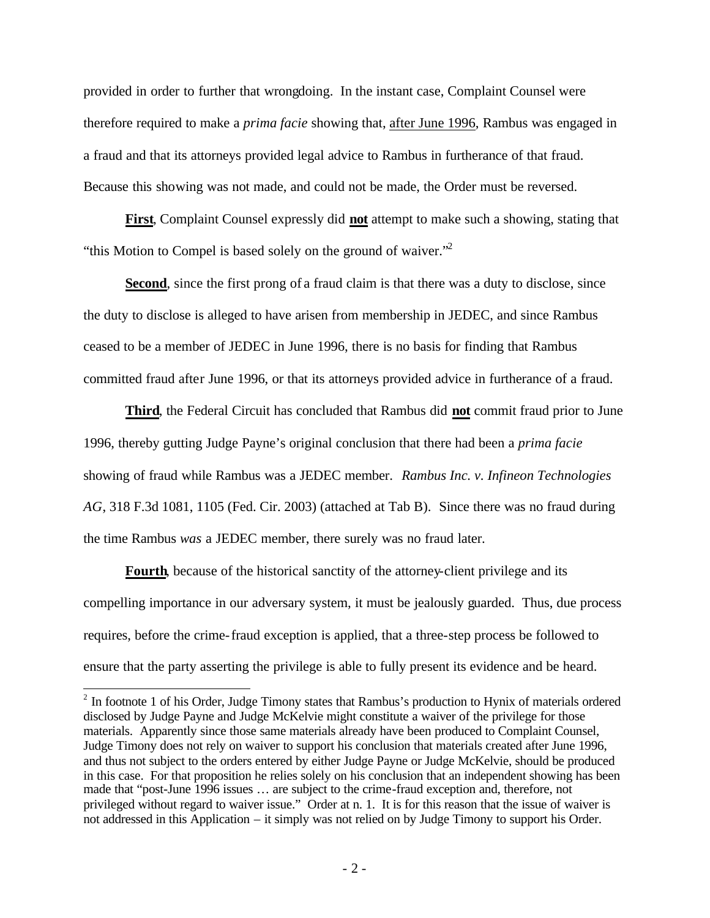provided in order to further that wrongdoing. In the instant case, Complaint Counsel were therefore required to make a *prima facie* showing that, after June 1996, Rambus was engaged in a fraud and that its attorneys provided legal advice to Rambus in furtherance of that fraud. Because this showing was not made, and could not be made, the Order must be reversed.

**First**, Complaint Counsel expressly did **not** attempt to make such a showing, stating that "this Motion to Compel is based solely on the ground of waiver."<sup>2</sup>

**Second**, since the first prong of a fraud claim is that there was a duty to disclose, since the duty to disclose is alleged to have arisen from membership in JEDEC, and since Rambus ceased to be a member of JEDEC in June 1996, there is no basis for finding that Rambus committed fraud after June 1996, or that its attorneys provided advice in furtherance of a fraud.

**Third**, the Federal Circuit has concluded that Rambus did **not** commit fraud prior to June 1996, thereby gutting Judge Payne's original conclusion that there had been a *prima facie* showing of fraud while Rambus was a JEDEC member. *Rambus Inc. v. Infineon Technologies AG*, 318 F.3d 1081, 1105 (Fed. Cir. 2003) (attached at Tab B). Since there was no fraud during the time Rambus *was* a JEDEC member, there surely was no fraud later.

**Fourth**, because of the historical sanctity of the attorney-client privilege and its compelling importance in our adversary system, it must be jealously guarded. Thus, due process requires, before the crime-fraud exception is applied, that a three-step process be followed to ensure that the party asserting the privilege is able to fully present its evidence and be heard.

 $\overline{1}$ 

 $2$  In footnote 1 of his Order, Judge Timony states that Rambus's production to Hynix of materials ordered disclosed by Judge Payne and Judge McKelvie might constitute a waiver of the privilege for those materials. Apparently since those same materials already have been produced to Complaint Counsel, Judge Timony does not rely on waiver to support his conclusion that materials created after June 1996, and thus not subject to the orders entered by either Judge Payne or Judge McKelvie, should be produced in this case. For that proposition he relies solely on his conclusion that an independent showing has been made that "post-June 1996 issues … are subject to the crime-fraud exception and, therefore, not privileged without regard to waiver issue." Order at n. 1. It is for this reason that the issue of waiver is not addressed in this Application – it simply was not relied on by Judge Timony to support his Order.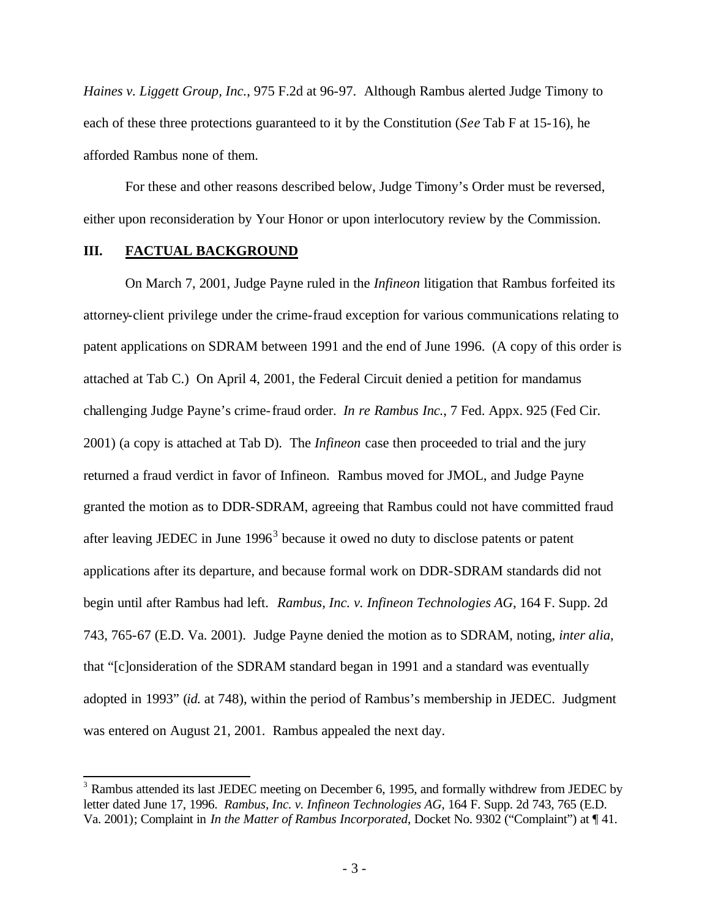*Haines v. Liggett Group, Inc.*, 975 F.2d at 96-97. Although Rambus alerted Judge Timony to each of these three protections guaranteed to it by the Constitution (*See* Tab F at 15-16), he afforded Rambus none of them.

For these and other reasons described below, Judge Timony's Order must be reversed, either upon reconsideration by Your Honor or upon interlocutory review by the Commission.

#### **III. FACTUAL BACKGROUND**

On March 7, 2001, Judge Payne ruled in the *Infineon* litigation that Rambus forfeited its attorney-client privilege under the crime-fraud exception for various communications relating to patent applications on SDRAM between 1991 and the end of June 1996. (A copy of this order is attached at Tab C.) On April 4, 2001, the Federal Circuit denied a petition for mandamus challenging Judge Payne's crime-fraud order. *In re Rambus Inc.*, 7 Fed. Appx. 925 (Fed Cir. 2001) (a copy is attached at Tab D). The *Infineon* case then proceeded to trial and the jury returned a fraud verdict in favor of Infineon. Rambus moved for JMOL, and Judge Payne granted the motion as to DDR-SDRAM, agreeing that Rambus could not have committed fraud after leaving JEDEC in June  $1996<sup>3</sup>$  because it owed no duty to disclose patents or patent applications after its departure, and because formal work on DDR-SDRAM standards did not begin until after Rambus had left. *Rambus, Inc. v. Infineon Technologies AG*, 164 F. Supp. 2d 743, 765-67 (E.D. Va. 2001). Judge Payne denied the motion as to SDRAM, noting, *inter alia*, that "[c]onsideration of the SDRAM standard began in 1991 and a standard was eventually adopted in 1993" (*id.* at 748), within the period of Rambus's membership in JEDEC. Judgment was entered on August 21, 2001. Rambus appealed the next day.

 $\overline{\phantom{a}}$  $3$  Rambus attended its last JEDEC meeting on December 6, 1995, and formally withdrew from JEDEC by letter dated June 17, 1996. *Rambus, Inc. v. Infineon Technologies AG*, 164 F. Supp. 2d 743, 765 (E.D. Va. 2001); Complaint in *In the Matter of Rambus Incorporated*, Docket No. 9302 ("Complaint") at ¶ 41.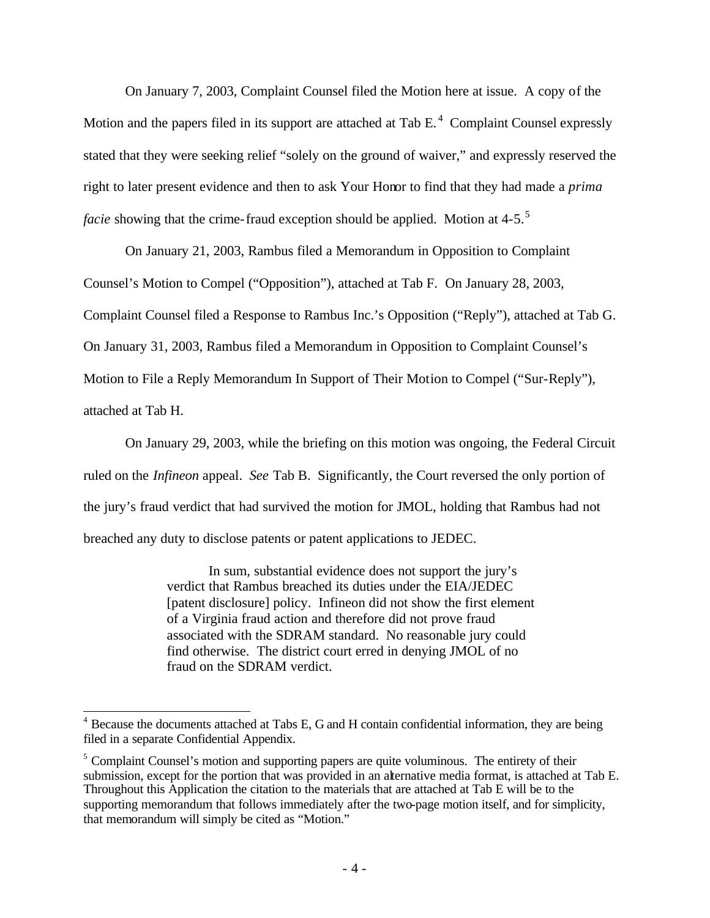On January 7, 2003, Complaint Counsel filed the Motion here at issue. A copy of the Motion and the papers filed in its support are attached at Tab  $E<sup>4</sup>$  Complaint Counsel expressly stated that they were seeking relief "solely on the ground of waiver," and expressly reserved the right to later present evidence and then to ask Your Honor to find that they had made a *prima facie* showing that the crime-fraud exception should be applied. Motion at 4-5.<sup>5</sup>

On January 21, 2003, Rambus filed a Memorandum in Opposition to Complaint Counsel's Motion to Compel ("Opposition"), attached at Tab F. On January 28, 2003, Complaint Counsel filed a Response to Rambus Inc.'s Opposition ("Reply"), attached at Tab G. On January 31, 2003, Rambus filed a Memorandum in Opposition to Complaint Counsel's Motion to File a Reply Memorandum In Support of Their Motion to Compel ("Sur-Reply"), attached at Tab H.

On January 29, 2003, while the briefing on this motion was ongoing, the Federal Circuit ruled on the *Infineon* appeal. *See* Tab B. Significantly, the Court reversed the only portion of the jury's fraud verdict that had survived the motion for JMOL, holding that Rambus had not breached any duty to disclose patents or patent applications to JEDEC.

> In sum, substantial evidence does not support the jury's verdict that Rambus breached its duties under the EIA/JEDEC [patent disclosure] policy. Infineon did not show the first element of a Virginia fraud action and therefore did not prove fraud associated with the SDRAM standard. No reasonable jury could find otherwise. The district court erred in denying JMOL of no fraud on the SDRAM verdict.

 $\overline{a}$ <sup>4</sup> Because the documents attached at Tabs E, G and H contain confidential information, they are being filed in a separate Confidential Appendix.

 $<sup>5</sup>$  Complaint Counsel's motion and supporting papers are quite voluminous. The entirety of their</sup> submission, except for the portion that was provided in an alternative media format, is attached at Tab E. Throughout this Application the citation to the materials that are attached at Tab E will be to the supporting memorandum that follows immediately after the two-page motion itself, and for simplicity, that memorandum will simply be cited as "Motion."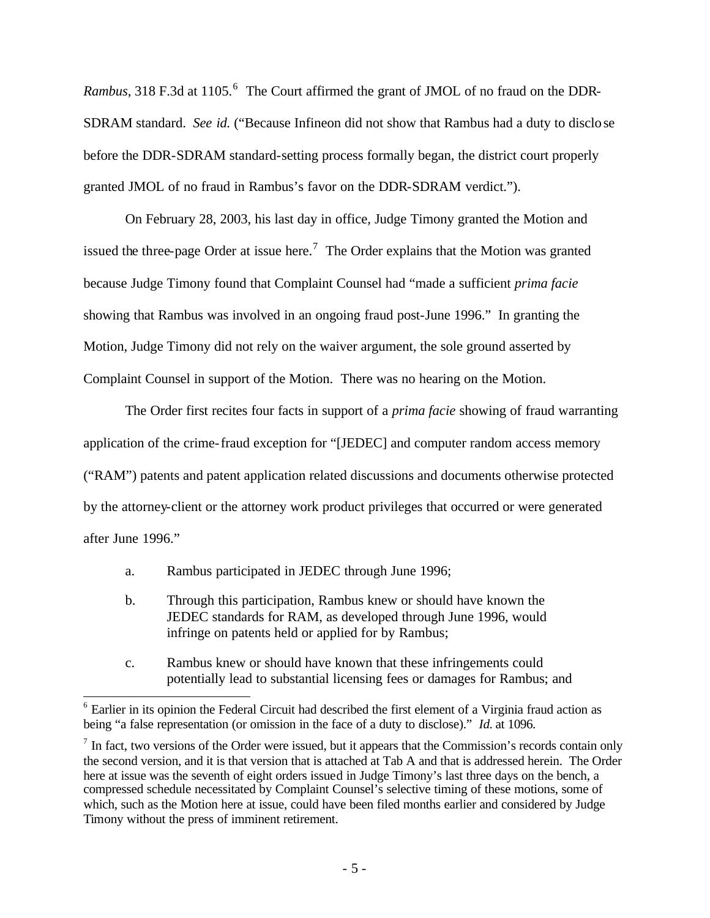Rambus, 318 F.3d at 1105.<sup>6</sup> The Court affirmed the grant of JMOL of no fraud on the DDR-SDRAM standard. *See id.* ("Because Infineon did not show that Rambus had a duty to disclose before the DDR-SDRAM standard-setting process formally began, the district court properly granted JMOL of no fraud in Rambus's favor on the DDR-SDRAM verdict.").

On February 28, 2003, his last day in office, Judge Timony granted the Motion and issued the three-page Order at issue here.<sup>7</sup> The Order explains that the Motion was granted because Judge Timony found that Complaint Counsel had "made a sufficient *prima facie* showing that Rambus was involved in an ongoing fraud post-June 1996." In granting the Motion, Judge Timony did not rely on the waiver argument, the sole ground asserted by Complaint Counsel in support of the Motion. There was no hearing on the Motion.

The Order first recites four facts in support of a *prima facie* showing of fraud warranting application of the crime-fraud exception for "[JEDEC] and computer random access memory ("RAM") patents and patent application related discussions and documents otherwise protected by the attorney-client or the attorney work product privileges that occurred or were generated after June 1996."

- a. Rambus participated in JEDEC through June 1996;
- b. Through this participation, Rambus knew or should have known the JEDEC standards for RAM, as developed through June 1996, would infringe on patents held or applied for by Rambus;
- c. Rambus knew or should have known that these infringements could potentially lead to substantial licensing fees or damages for Rambus; and

 $\overline{a}$ <sup>6</sup> Earlier in its opinion the Federal Circuit had described the first element of a Virginia fraud action as being "a false representation (or omission in the face of a duty to disclose)." *Id.* at 1096.

 $<sup>7</sup>$  In fact, two versions of the Order were issued, but it appears that the Commission's records contain only</sup> the second version, and it is that version that is attached at Tab A and that is addressed herein. The Order here at issue was the seventh of eight orders issued in Judge Timony's last three days on the bench, a compressed schedule necessitated by Complaint Counsel's selective timing of these motions, some of which, such as the Motion here at issue, could have been filed months earlier and considered by Judge Timony without the press of imminent retirement.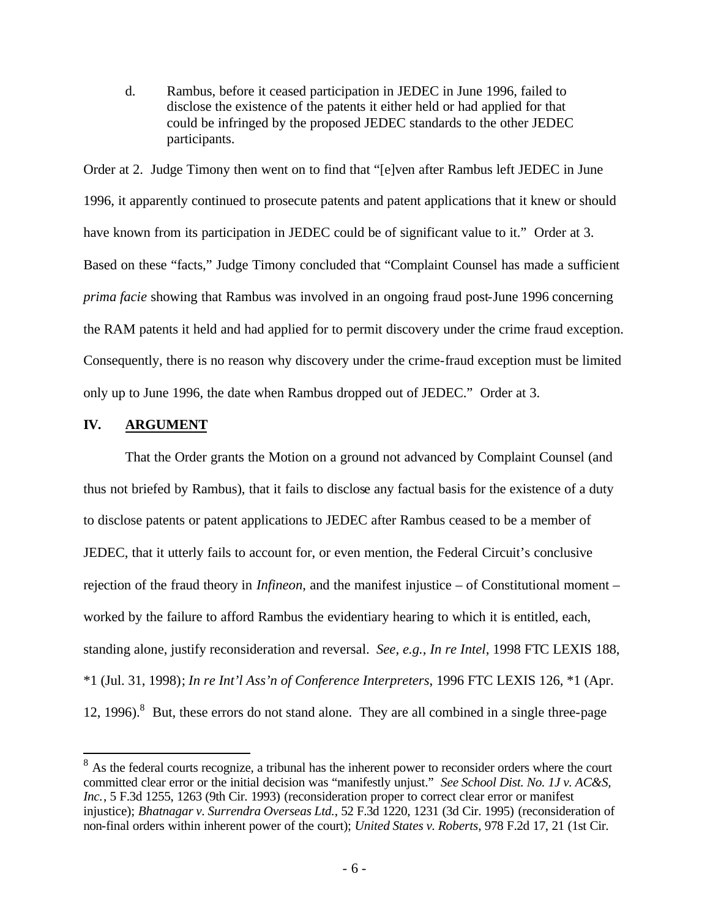d. Rambus, before it ceased participation in JEDEC in June 1996, failed to disclose the existence of the patents it either held or had applied for that could be infringed by the proposed JEDEC standards to the other JEDEC participants.

Order at 2. Judge Timony then went on to find that "[e]ven after Rambus left JEDEC in June 1996, it apparently continued to prosecute patents and patent applications that it knew or should have known from its participation in JEDEC could be of significant value to it." Order at 3. Based on these "facts," Judge Timony concluded that "Complaint Counsel has made a sufficient *prima facie* showing that Rambus was involved in an ongoing fraud post-June 1996 concerning the RAM patents it held and had applied for to permit discovery under the crime fraud exception. Consequently, there is no reason why discovery under the crime-fraud exception must be limited only up to June 1996, the date when Rambus dropped out of JEDEC." Order at 3.

#### **IV. ARGUMENT**

 $\overline{a}$ 

That the Order grants the Motion on a ground not advanced by Complaint Counsel (and thus not briefed by Rambus), that it fails to disclose any factual basis for the existence of a duty to disclose patents or patent applications to JEDEC after Rambus ceased to be a member of JEDEC, that it utterly fails to account for, or even mention, the Federal Circuit's conclusive rejection of the fraud theory in *Infineon*, and the manifest injustice – of Constitutional moment – worked by the failure to afford Rambus the evidentiary hearing to which it is entitled, each, standing alone, justify reconsideration and reversal. *See, e.g., In re Intel,* 1998 FTC LEXIS 188, \*1 (Jul. 31, 1998); *In re Int'l Ass'n of Conference Interpreters*, 1996 FTC LEXIS 126, \*1 (Apr. 12, 1996).<sup>8</sup> But, these errors do not stand alone. They are all combined in a single three-page

 $8$  As the federal courts recognize, a tribunal has the inherent power to reconsider orders where the court committed clear error or the initial decision was "manifestly unjust." *See School Dist. No. 1J v. AC&S, Inc.*, 5 F.3d 1255, 1263 (9th Cir. 1993) (reconsideration proper to correct clear error or manifest injustice); *Bhatnagar v. Surrendra Overseas Ltd.*, 52 F.3d 1220, 1231 (3d Cir. 1995) (reconsideration of non-final orders within inherent power of the court); *United States v. Roberts*, 978 F.2d 17, 21 (1st Cir.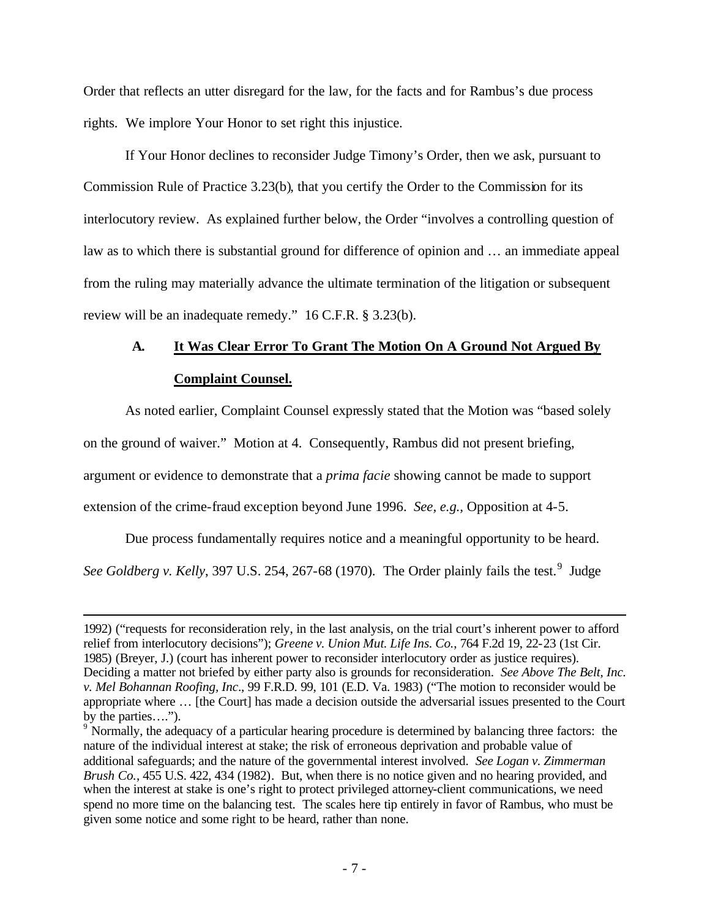Order that reflects an utter disregard for the law, for the facts and for Rambus's due process rights. We implore Your Honor to set right this injustice.

If Your Honor declines to reconsider Judge Timony's Order, then we ask, pursuant to Commission Rule of Practice 3.23(b), that you certify the Order to the Commission for its interlocutory review. As explained further below, the Order "involves a controlling question of law as to which there is substantial ground for difference of opinion and … an immediate appeal from the ruling may materially advance the ultimate termination of the litigation or subsequent review will be an inadequate remedy." 16 C.F.R. § 3.23(b).

# **A. It Was Clear Error To Grant The Motion On A Ground Not Argued By Complaint Counsel.**

As noted earlier, Complaint Counsel expressly stated that the Motion was "based solely

on the ground of waiver." Motion at 4. Consequently, Rambus did not present briefing,

argument or evidence to demonstrate that a *prima facie* showing cannot be made to support

extension of the crime-fraud exception beyond June 1996. *See, e.g.,* Opposition at 4-5.

 $\overline{a}$ 

Due process fundamentally requires notice and a meaningful opportunity to be heard.

See Goldberg v. Kelly, 397 U.S. 254, 267-68 (1970). The Order plainly fails the test.<sup>9</sup> Judge

<sup>1992) (&</sup>quot;requests for reconsideration rely, in the last analysis, on the trial court's inherent power to afford relief from interlocutory decisions"); *Greene v. Union Mut. Life Ins. Co.*, 764 F.2d 19, 22-23 (1st Cir. 1985) (Breyer, J.) (court has inherent power to reconsider interlocutory order as justice requires). Deciding a matter not briefed by either party also is grounds for reconsideration. *See Above The Belt, Inc. v. Mel Bohannan Roofing, Inc*., 99 F.R.D. 99, 101 (E.D. Va. 1983) ("The motion to reconsider would be appropriate where … [the Court] has made a decision outside the adversarial issues presented to the Court by the parties….").

<sup>&</sup>lt;sup>9</sup> Normally, the adequacy of a particular hearing procedure is determined by balancing three factors: the nature of the individual interest at stake; the risk of erroneous deprivation and probable value of additional safeguards; and the nature of the governmental interest involved. *See Logan v. Zimmerman Brush Co.*, 455 U.S. 422, 434 (1982). But, when there is no notice given and no hearing provided, and when the interest at stake is one's right to protect privileged attorney-client communications, we need spend no more time on the balancing test. The scales here tip entirely in favor of Rambus, who must be given some notice and some right to be heard, rather than none.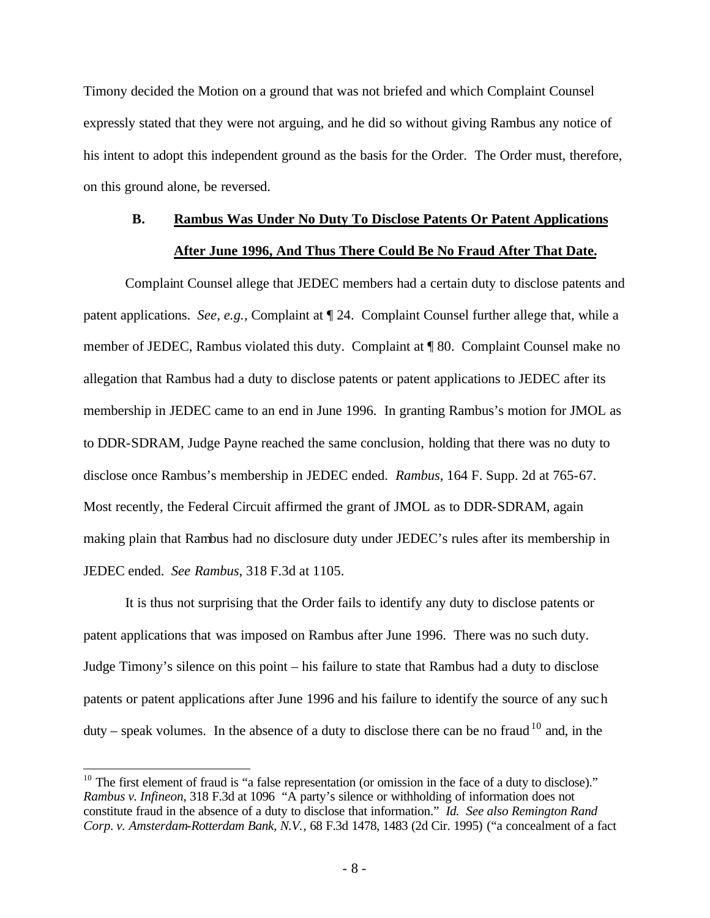Timony decided the Motion on a ground that was not briefed and which Complaint Counsel expressly stated that they were not arguing, and he did so without giving Rambus any notice of his intent to adopt this independent ground as the basis for the Order. The Order must, therefore, on this ground alone, be reversed.

# **B. Rambus Was Under No Duty To Disclose Patents Or Patent Applications After June 1996, And Thus There Could Be No Fraud After That Date.**

Complaint Counsel allege that JEDEC members had a certain duty to disclose patents and patent applications. *See, e.g.,* Complaint at ¶ 24. Complaint Counsel further allege that, while a member of JEDEC, Rambus violated this duty. Complaint at ¶ 80. Complaint Counsel make no allegation that Rambus had a duty to disclose patents or patent applications to JEDEC after its membership in JEDEC came to an end in June 1996. In granting Rambus's motion for JMOL as to DDR-SDRAM, Judge Payne reached the same conclusion, holding that there was no duty to disclose once Rambus's membership in JEDEC ended. *Rambus*, 164 F. Supp. 2d at 765-67. Most recently, the Federal Circuit affirmed the grant of JMOL as to DDR-SDRAM, again making plain that Rambus had no disclosure duty under JEDEC's rules after its membership in JEDEC ended. *See Rambus*, 318 F.3d at 1105.

It is thus not surprising that the Order fails to identify any duty to disclose patents or patent applications that was imposed on Rambus after June 1996. There was no such duty. Judge Timony's silence on this point – his failure to state that Rambus had a duty to disclose patents or patent applications after June 1996 and his failure to identify the source of any such duty – speak volumes. In the absence of a duty to disclose there can be no fraud  $10^{\circ}$  and, in the

 $\overline{a}$ 

 $10$  The first element of fraud is "a false representation (or omission in the face of a duty to disclose)." *Rambus v. Infineon*, 318 F.3d at 1096 "A party's silence or withholding of information does not constitute fraud in the absence of a duty to disclose that information." *Id. See also Remington Rand Corp. v. Amsterdam-Rotterdam Bank, N.V.*, 68 F.3d 1478, 1483 (2d Cir. 1995) ("a concealment of a fact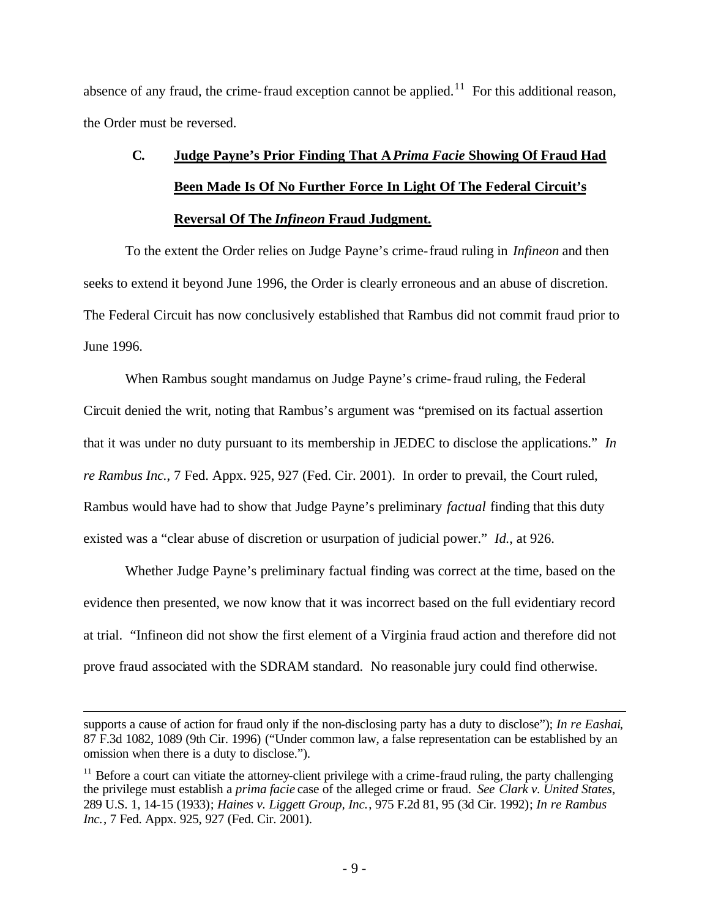absence of any fraud, the crime-fraud exception cannot be applied.<sup>11</sup> For this additional reason, the Order must be reversed.

# **C. Judge Payne's Prior Finding That A***Prima Facie* **Showing Of Fraud Had Been Made Is Of No Further Force In Light Of The Federal Circuit's Reversal Of The** *Infineon* **Fraud Judgment.**

To the extent the Order relies on Judge Payne's crime-fraud ruling in *Infineon* and then seeks to extend it beyond June 1996, the Order is clearly erroneous and an abuse of discretion. The Federal Circuit has now conclusively established that Rambus did not commit fraud prior to June 1996.

When Rambus sought mandamus on Judge Payne's crime-fraud ruling, the Federal Circuit denied the writ, noting that Rambus's argument was "premised on its factual assertion that it was under no duty pursuant to its membership in JEDEC to disclose the applications." *In re Rambus Inc.*, 7 Fed. Appx. 925, 927 (Fed. Cir. 2001). In order to prevail, the Court ruled, Rambus would have had to show that Judge Payne's preliminary *factual* finding that this duty existed was a "clear abuse of discretion or usurpation of judicial power." *Id.*, at 926.

Whether Judge Payne's preliminary factual finding was correct at the time, based on the evidence then presented, we now know that it was incorrect based on the full evidentiary record at trial. "Infineon did not show the first element of a Virginia fraud action and therefore did not prove fraud associated with the SDRAM standard. No reasonable jury could find otherwise.

 $\overline{a}$ 

supports a cause of action for fraud only if the non-disclosing party has a duty to disclose"); *In re Eashai*, 87 F.3d 1082, 1089 (9th Cir. 1996) ("Under common law, a false representation can be established by an omission when there is a duty to disclose.").

 $11$  Before a court can vitiate the attorney-client privilege with a crime-fraud ruling, the party challenging the privilege must establish a *prima facie* case of the alleged crime or fraud. *See Clark v. United States*, 289 U.S. 1, 14-15 (1933); *Haines v. Liggett Group, Inc.*, 975 F.2d 81, 95 (3d Cir. 1992); *In re Rambus Inc.*, 7 Fed. Appx. 925, 927 (Fed. Cir. 2001).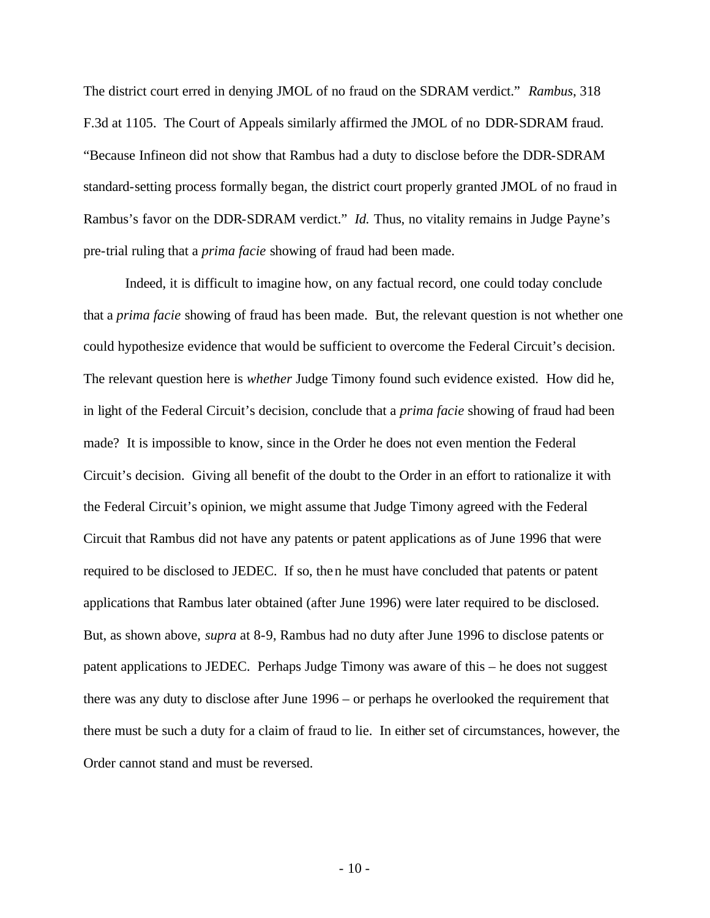The district court erred in denying JMOL of no fraud on the SDRAM verdict." *Rambus*, 318 F.3d at 1105. The Court of Appeals similarly affirmed the JMOL of no DDR-SDRAM fraud. "Because Infineon did not show that Rambus had a duty to disclose before the DDR-SDRAM standard-setting process formally began, the district court properly granted JMOL of no fraud in Rambus's favor on the DDR-SDRAM verdict." *Id.* Thus, no vitality remains in Judge Payne's pre-trial ruling that a *prima facie* showing of fraud had been made.

Indeed, it is difficult to imagine how, on any factual record, one could today conclude that a *prima facie* showing of fraud has been made. But, the relevant question is not whether one could hypothesize evidence that would be sufficient to overcome the Federal Circuit's decision. The relevant question here is *whether* Judge Timony found such evidence existed. How did he, in light of the Federal Circuit's decision, conclude that a *prima facie* showing of fraud had been made? It is impossible to know, since in the Order he does not even mention the Federal Circuit's decision. Giving all benefit of the doubt to the Order in an effort to rationalize it with the Federal Circuit's opinion, we might assume that Judge Timony agreed with the Federal Circuit that Rambus did not have any patents or patent applications as of June 1996 that were required to be disclosed to JEDEC. If so, then he must have concluded that patents or patent applications that Rambus later obtained (after June 1996) were later required to be disclosed. But, as shown above, *supra* at 8-9, Rambus had no duty after June 1996 to disclose patents or patent applications to JEDEC. Perhaps Judge Timony was aware of this – he does not suggest there was any duty to disclose after June 1996 – or perhaps he overlooked the requirement that there must be such a duty for a claim of fraud to lie. In either set of circumstances, however, the Order cannot stand and must be reversed.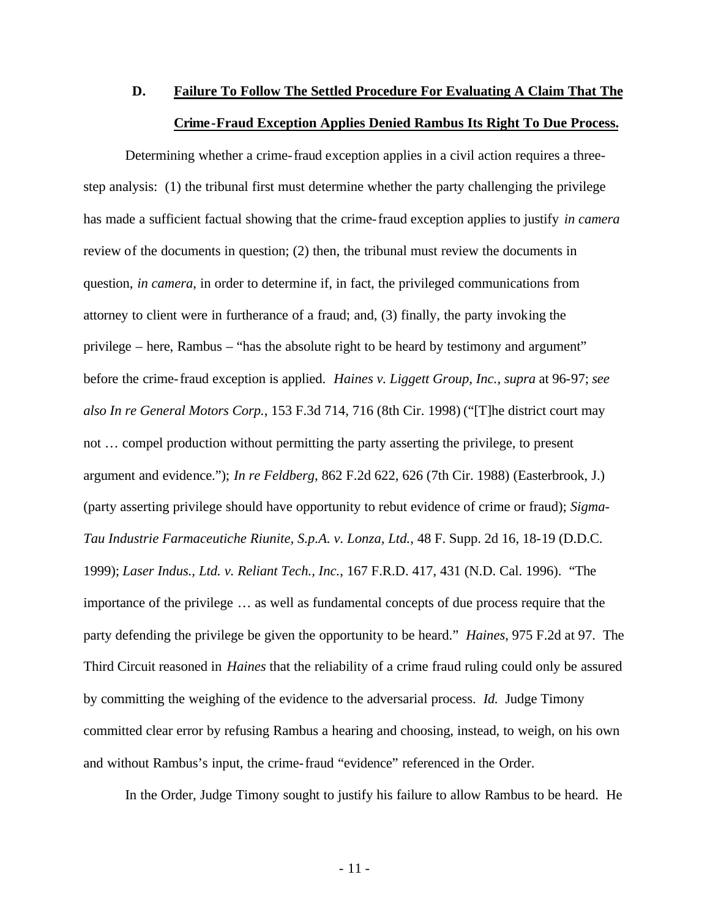# **D. Failure To Follow The Settled Procedure For Evaluating A Claim That The Crime-Fraud Exception Applies Denied Rambus Its Right To Due Process.**

Determining whether a crime-fraud exception applies in a civil action requires a threestep analysis: (1) the tribunal first must determine whether the party challenging the privilege has made a sufficient factual showing that the crime-fraud exception applies to justify *in camera* review of the documents in question; (2) then, the tribunal must review the documents in question, *in camera*, in order to determine if, in fact, the privileged communications from attorney to client were in furtherance of a fraud; and, (3) finally, the party invoking the privilege – here, Rambus – "has the absolute right to be heard by testimony and argument" before the crime-fraud exception is applied. *Haines v. Liggett Group, Inc.*, *supra* at 96-97; *see also In re General Motors Corp.*, 153 F.3d 714, 716 (8th Cir. 1998) ("[T]he district court may not … compel production without permitting the party asserting the privilege, to present argument and evidence."); *In re Feldberg*, 862 F.2d 622, 626 (7th Cir. 1988) (Easterbrook, J.) (party asserting privilege should have opportunity to rebut evidence of crime or fraud); *Sigma-Tau Industrie Farmaceutiche Riunite, S.p.A. v. Lonza, Ltd.*, 48 F. Supp. 2d 16, 18-19 (D.D.C. 1999); *Laser Indus., Ltd. v. Reliant Tech., Inc.*, 167 F.R.D. 417, 431 (N.D. Cal. 1996). "The importance of the privilege … as well as fundamental concepts of due process require that the party defending the privilege be given the opportunity to be heard." *Haines*, 975 F.2d at 97. The Third Circuit reasoned in *Haines* that the reliability of a crime fraud ruling could only be assured by committing the weighing of the evidence to the adversarial process. *Id.* Judge Timony committed clear error by refusing Rambus a hearing and choosing, instead, to weigh, on his own and without Rambus's input, the crime-fraud "evidence" referenced in the Order.

In the Order, Judge Timony sought to justify his failure to allow Rambus to be heard. He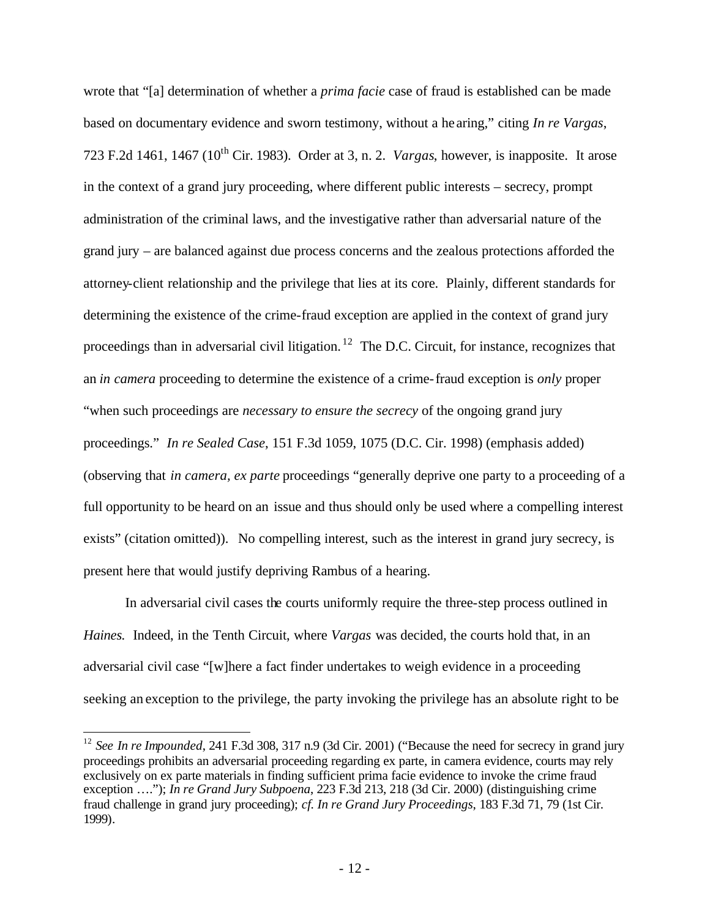wrote that "[a] determination of whether a *prima facie* case of fraud is established can be made based on documentary evidence and sworn testimony, without a he aring," citing *In re Vargas*, 723 F.2d 1461, 1467 (10th Cir. 1983). Order at 3, n. 2. *Vargas*, however, is inapposite. It arose in the context of a grand jury proceeding, where different public interests – secrecy, prompt administration of the criminal laws, and the investigative rather than adversarial nature of the grand jury – are balanced against due process concerns and the zealous protections afforded the attorney-client relationship and the privilege that lies at its core. Plainly, different standards for determining the existence of the crime-fraud exception are applied in the context of grand jury proceedings than in adversarial civil litigation.<sup>12</sup> The D.C. Circuit, for instance, recognizes that an *in camera* proceeding to determine the existence of a crime-fraud exception is *only* proper "when such proceedings are *necessary to ensure the secrecy* of the ongoing grand jury proceedings." *In re Sealed Case*, 151 F.3d 1059, 1075 (D.C. Cir. 1998) (emphasis added) (observing that *in camera, ex parte* proceedings "generally deprive one party to a proceeding of a full opportunity to be heard on an issue and thus should only be used where a compelling interest exists" (citation omitted)). No compelling interest, such as the interest in grand jury secrecy, is present here that would justify depriving Rambus of a hearing.

In adversarial civil cases the courts uniformly require the three-step process outlined in *Haines.* Indeed, in the Tenth Circuit, where *Vargas* was decided, the courts hold that, in an adversarial civil case "[w]here a fact finder undertakes to weigh evidence in a proceeding seeking an exception to the privilege, the party invoking the privilege has an absolute right to be

 $\overline{a}$ 

<sup>&</sup>lt;sup>12</sup> *See In re Impounded*, 241 F.3d 308, 317 n.9 (3d Cir. 2001) ("Because the need for secrecy in grand jury proceedings prohibits an adversarial proceeding regarding ex parte, in camera evidence, courts may rely exclusively on ex parte materials in finding sufficient prima facie evidence to invoke the crime fraud exception …."); *In re Grand Jury Subpoena*, 223 F.3d 213, 218 (3d Cir. 2000) (distinguishing crime fraud challenge in grand jury proceeding); *cf. In re Grand Jury Proceedings*, 183 F.3d 71, 79 (1st Cir. 1999).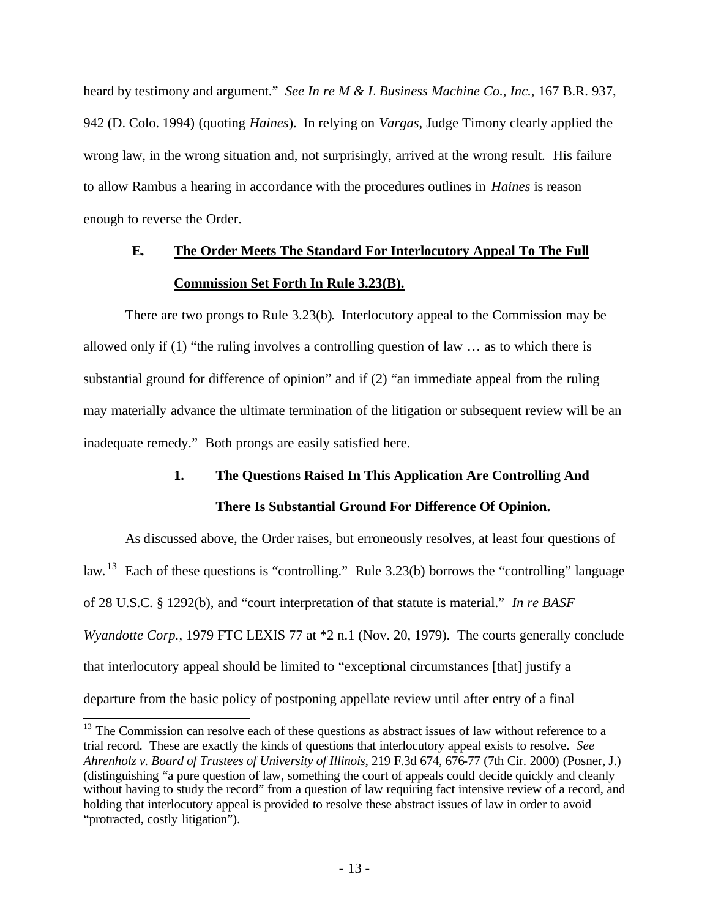heard by testimony and argument." *See In re M & L Business Machine Co., Inc.*, 167 B.R. 937, 942 (D. Colo. 1994) (quoting *Haines*). In relying on *Vargas*, Judge Timony clearly applied the wrong law, in the wrong situation and, not surprisingly, arrived at the wrong result. His failure to allow Rambus a hearing in accordance with the procedures outlines in *Haines* is reason enough to reverse the Order.

# **E. The Order Meets The Standard For Interlocutory Appeal To The Full Commission Set Forth In Rule 3.23(B).**

There are two prongs to Rule 3.23(b). Interlocutory appeal to the Commission may be allowed only if (1) "the ruling involves a controlling question of law … as to which there is substantial ground for difference of opinion" and if (2) "an immediate appeal from the ruling may materially advance the ultimate termination of the litigation or subsequent review will be an inadequate remedy." Both prongs are easily satisfied here.

# **1. The Questions Raised In This Application Are Controlling And There Is Substantial Ground For Difference Of Opinion.**

As discussed above, the Order raises, but erroneously resolves, at least four questions of law.<sup>13</sup> Each of these questions is "controlling." Rule 3.23(b) borrows the "controlling" language of 28 U.S.C. § 1292(b), and "court interpretation of that statute is material." *In re BASF Wyandotte Corp.*, 1979 FTC LEXIS 77 at  $*2$  n.1 (Nov. 20, 1979). The courts generally conclude that interlocutory appeal should be limited to "exceptional circumstances [that] justify a departure from the basic policy of postponing appellate review until after entry of a final

 $\overline{\phantom{a}}$ 

 $13$  The Commission can resolve each of these questions as abstract issues of law without reference to a trial record. These are exactly the kinds of questions that interlocutory appeal exists to resolve. *See Ahrenholz v. Board of Trustees of University of Illinois*, 219 F.3d 674, 676-77 (7th Cir. 2000) (Posner, J.) (distinguishing "a pure question of law, something the court of appeals could decide quickly and cleanly without having to study the record" from a question of law requiring fact intensive review of a record, and holding that interlocutory appeal is provided to resolve these abstract issues of law in order to avoid "protracted, costly litigation").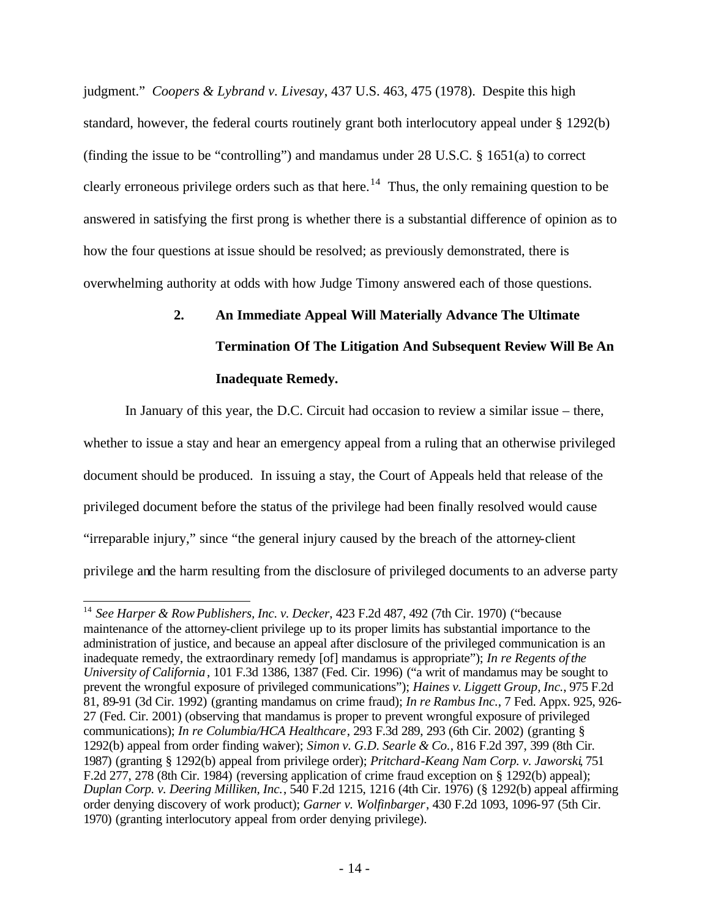judgment." *Coopers & Lybrand v. Livesay*, 437 U.S. 463, 475 (1978). Despite this high standard, however, the federal courts routinely grant both interlocutory appeal under § 1292(b) (finding the issue to be "controlling") and mandamus under 28 U.S.C. § 1651(a) to correct clearly erroneous privilege orders such as that here.<sup>14</sup> Thus, the only remaining question to be answered in satisfying the first prong is whether there is a substantial difference of opinion as to how the four questions at issue should be resolved; as previously demonstrated, there is overwhelming authority at odds with how Judge Timony answered each of those questions.

# **2. An Immediate Appeal Will Materially Advance The Ultimate Termination Of The Litigation And Subsequent Review Will Be An Inadequate Remedy.**

In January of this year, the D.C. Circuit had occasion to review a similar issue – there, whether to issue a stay and hear an emergency appeal from a ruling that an otherwise privileged document should be produced. In issuing a stay, the Court of Appeals held that release of the privileged document before the status of the privilege had been finally resolved would cause "irreparable injury," since "the general injury caused by the breach of the attorney-client privilege and the harm resulting from the disclosure of privileged documents to an adverse party

 $\overline{\phantom{a}}$ 

<sup>14</sup> *See Harper & RowPublishers, Inc. v. Decker*, 423 F.2d 487, 492 (7th Cir. 1970) ("because maintenance of the attorney-client privilege up to its proper limits has substantial importance to the administration of justice, and because an appeal after disclosure of the privileged communication is an inadequate remedy, the extraordinary remedy [of] mandamus is appropriate"); *In re Regents of the University of California*, 101 F.3d 1386, 1387 (Fed. Cir. 1996) ("a writ of mandamus may be sought to prevent the wrongful exposure of privileged communications"); *Haines v. Liggett Group, Inc.*, 975 F.2d 81, 89-91 (3d Cir. 1992) (granting mandamus on crime fraud); *In re Rambus Inc.*, 7 Fed. Appx. 925, 926- 27 (Fed. Cir. 2001) (observing that mandamus is proper to prevent wrongful exposure of privileged communications); *In re Columbia/HCA Healthcare*, 293 F.3d 289, 293 (6th Cir. 2002) (granting § 1292(b) appeal from order finding waiver); *Simon v. G.D. Searle & Co.*, 816 F.2d 397, 399 (8th Cir. 1987) (granting § 1292(b) appeal from privilege order); *Pritchard-Keang Nam Corp. v. Jaworski*, 751 F.2d 277, 278 (8th Cir. 1984) (reversing application of crime fraud exception on § 1292(b) appeal); *Duplan Corp. v. Deering Milliken, Inc.*, 540 F.2d 1215, 1216 (4th Cir. 1976) (§ 1292(b) appeal affirming order denying discovery of work product); *Garner v. Wolfinbarger*, 430 F.2d 1093, 1096-97 (5th Cir. 1970) (granting interlocutory appeal from order denying privilege).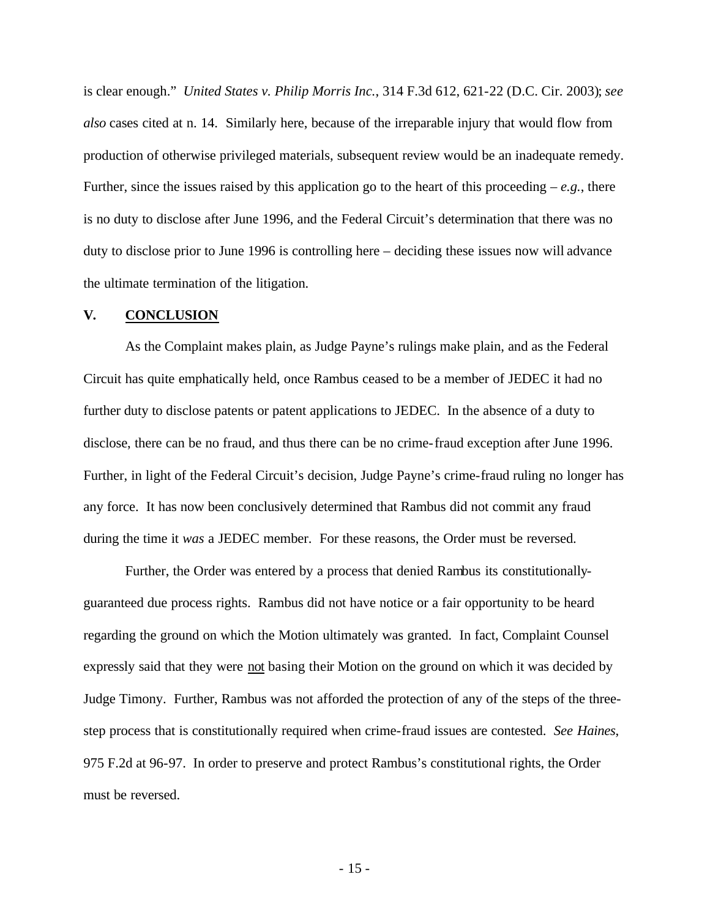is clear enough." *United States v. Philip Morris Inc.*, 314 F.3d 612, 621-22 (D.C. Cir. 2003); *see also* cases cited at n. 14. Similarly here, because of the irreparable injury that would flow from production of otherwise privileged materials, subsequent review would be an inadequate remedy. Further, since the issues raised by this application go to the heart of this proceeding  $-e.g.,$  there is no duty to disclose after June 1996, and the Federal Circuit's determination that there was no duty to disclose prior to June 1996 is controlling here – deciding these issues now will advance the ultimate termination of the litigation.

#### **V. CONCLUSION**

As the Complaint makes plain, as Judge Payne's rulings make plain, and as the Federal Circuit has quite emphatically held, once Rambus ceased to be a member of JEDEC it had no further duty to disclose patents or patent applications to JEDEC. In the absence of a duty to disclose, there can be no fraud, and thus there can be no crime-fraud exception after June 1996. Further, in light of the Federal Circuit's decision, Judge Payne's crime-fraud ruling no longer has any force. It has now been conclusively determined that Rambus did not commit any fraud during the time it *was* a JEDEC member. For these reasons, the Order must be reversed.

Further, the Order was entered by a process that denied Rambus its constitutionallyguaranteed due process rights. Rambus did not have notice or a fair opportunity to be heard regarding the ground on which the Motion ultimately was granted. In fact, Complaint Counsel expressly said that they were not basing their Motion on the ground on which it was decided by Judge Timony. Further, Rambus was not afforded the protection of any of the steps of the threestep process that is constitutionally required when crime-fraud issues are contested. *See Haines*, 975 F.2d at 96-97. In order to preserve and protect Rambus's constitutional rights, the Order must be reversed.